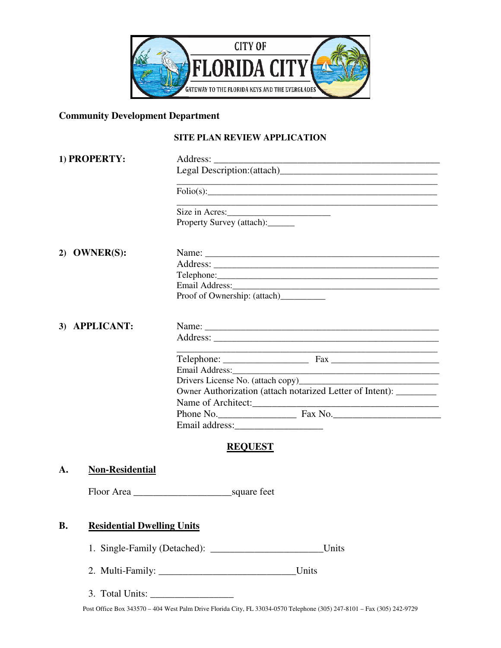

# **Community Development Department**

#### **SITE PLAN REVIEW APPLICATION**

| 1) PROPERTY:                                   |                                                                                                                                                                                                                                |
|------------------------------------------------|--------------------------------------------------------------------------------------------------------------------------------------------------------------------------------------------------------------------------------|
|                                                |                                                                                                                                                                                                                                |
|                                                | <u> 1989 - Johann Barbara, martxa alemaniar arg</u> entziar eta biztanleria (h. 1908).<br>$\text{Folio}(s):$                                                                                                                   |
|                                                | Size in Acres:<br>Property Survey (attach):                                                                                                                                                                                    |
|                                                |                                                                                                                                                                                                                                |
| 2) OWNER(S):                                   |                                                                                                                                                                                                                                |
|                                                |                                                                                                                                                                                                                                |
|                                                |                                                                                                                                                                                                                                |
|                                                | Email Address: No. 1996. The Committee of the Committee of the Committee of the Committee of the Committee of the Committee of the Committee of the Committee of the Committee of the Committee of the Committee of the Commit |
|                                                | Proof of Ownership: (attach)                                                                                                                                                                                                   |
| 3) APPLICANT:                                  |                                                                                                                                                                                                                                |
|                                                |                                                                                                                                                                                                                                |
|                                                |                                                                                                                                                                                                                                |
|                                                | Email Address: No. 1996. The Contract of the Contract of the Contract of the Contract of the Contract of the Contract of the Contract of the Contract of the Contract of the Contract of the Contract of the Contract of the C |
|                                                |                                                                                                                                                                                                                                |
|                                                | Owner Authorization (attach notarized Letter of Intent): ________                                                                                                                                                              |
|                                                |                                                                                                                                                                                                                                |
|                                                |                                                                                                                                                                                                                                |
|                                                |                                                                                                                                                                                                                                |
|                                                | <b>REQUEST</b>                                                                                                                                                                                                                 |
| <b>Non-Residential</b><br>A.                   |                                                                                                                                                                                                                                |
|                                                | Floor Area                                                                                                                                                                                                                     |
|                                                |                                                                                                                                                                                                                                |
| <b>Residential Dwelling Units</b><br><b>B.</b> |                                                                                                                                                                                                                                |
| Units                                          |                                                                                                                                                                                                                                |

- 2. Multi-Family: \_\_\_\_\_\_\_\_\_\_\_\_\_\_\_\_\_\_\_\_\_\_\_\_\_\_\_\_Units
- 3. Total Units: \_\_\_\_\_\_\_\_\_\_\_\_\_\_\_\_\_

Post Office Box 343570 – 404 West Palm Drive Florida City, FL 33034-0570 Telephone (305) 247-8101 – Fax (305) 242-9729